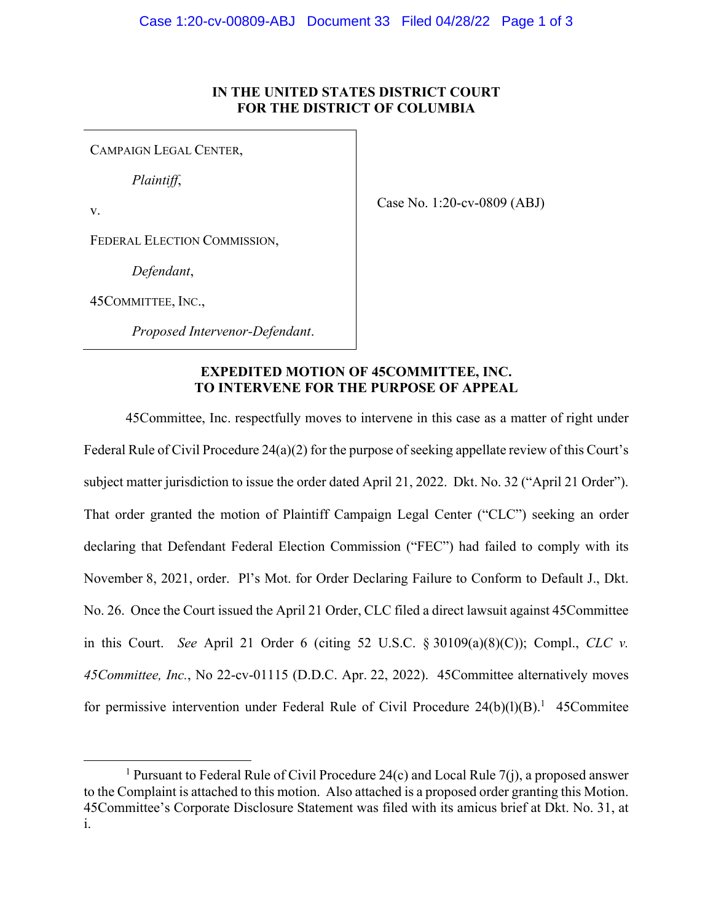## **IN THE UNITED STATES DISTRICT COURT FOR THE DISTRICT OF COLUMBIA**

CAMPAIGN LEGAL CENTER,

*Plaintiff*,

v.

Case No. 1:20-cv-0809 (ABJ)

FEDERAL ELECTION COMMISSION,

*Defendant*,

45COMMITTEE, INC.,

*Proposed Intervenor-Defendant*.

## **EXPEDITED MOTION OF 45COMMITTEE, INC. TO INTERVENE FOR THE PURPOSE OF APPEAL**

45Committee, Inc. respectfully moves to intervene in this case as a matter of right under Federal Rule of Civil Procedure 24(a)(2) for the purpose of seeking appellate review of this Court's subject matter jurisdiction to issue the order dated April 21, 2022. Dkt. No. 32 ("April 21 Order"). That order granted the motion of Plaintiff Campaign Legal Center ("CLC") seeking an order declaring that Defendant Federal Election Commission ("FEC") had failed to comply with its November 8, 2021, order. Pl's Mot. for Order Declaring Failure to Conform to Default J., Dkt. No. 26. Once the Court issued the April 21 Order, CLC filed a direct lawsuit against 45Committee in this Court. *See* April 21 Order 6 (citing 52 U.S.C. § 30109(a)(8)(C)); Compl., *CLC v. 45Committee, Inc.*, No 22-cv-01115 (D.D.C. Apr. 22, 2022). 45Committee alternatively moves for permissive intervention under Federal Rule of Civil Procedure  $24(b)(l)(B)$ .<sup>1</sup> 45Commitee

<sup>&</sup>lt;sup>1</sup> Pursuant to Federal Rule of Civil Procedure 24(c) and Local Rule 7(j), a proposed answer to the Complaint is attached to this motion. Also attached is a proposed order granting this Motion. 45Committee's Corporate Disclosure Statement was filed with its amicus brief at Dkt. No. 31, at i.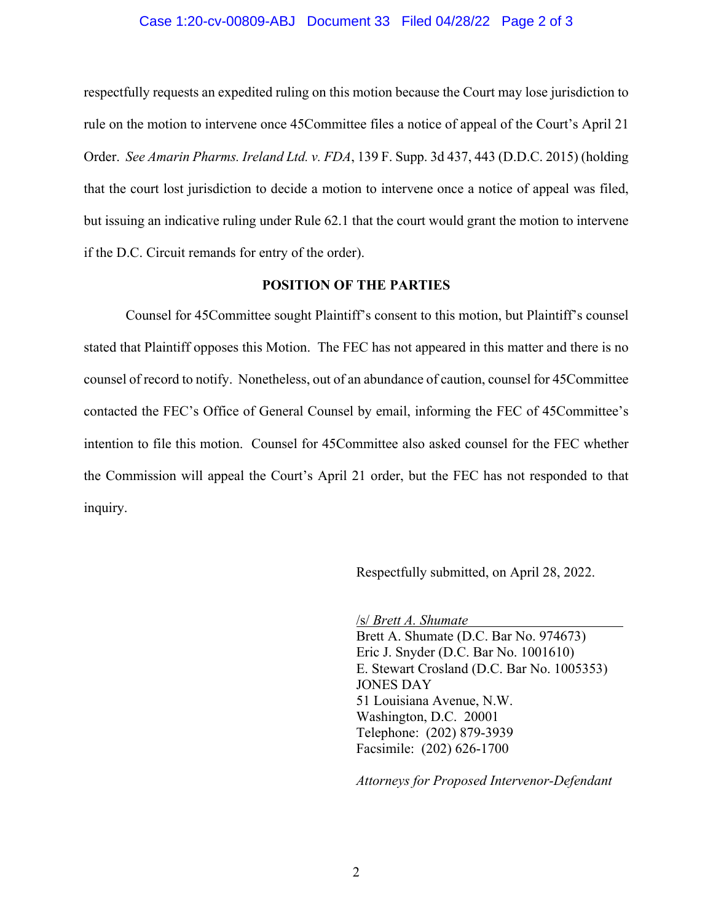#### Case 1:20-cv-00809-ABJ Document 33 Filed 04/28/22 Page 2 of 3

respectfully requests an expedited ruling on this motion because the Court may lose jurisdiction to rule on the motion to intervene once 45Committee files a notice of appeal of the Court's April 21 Order. *See Amarin Pharms. Ireland Ltd. v. FDA*, 139 F. Supp. 3d 437, 443 (D.D.C. 2015) (holding that the court lost jurisdiction to decide a motion to intervene once a notice of appeal was filed, but issuing an indicative ruling under Rule 62.1 that the court would grant the motion to intervene if the D.C. Circuit remands for entry of the order).

## **POSITION OF THE PARTIES**

Counsel for 45Committee sought Plaintiff's consent to this motion, but Plaintiff's counsel stated that Plaintiff opposes this Motion. The FEC has not appeared in this matter and there is no counsel of record to notify. Nonetheless, out of an abundance of caution, counsel for 45Committee contacted the FEC's Office of General Counsel by email, informing the FEC of 45Committee's intention to file this motion. Counsel for 45Committee also asked counsel for the FEC whether the Commission will appeal the Court's April 21 order, but the FEC has not responded to that inquiry.

Respectfully submitted, on April 28, 2022.

/s/ *Brett A. Shumate*  Brett A. Shumate (D.C. Bar No. 974673) Eric J. Snyder (D.C. Bar No. 1001610) E. Stewart Crosland (D.C. Bar No. 1005353) JONES DAY 51 Louisiana Avenue, N.W. Washington, D.C. 20001 Telephone: (202) 879-3939 Facsimile: (202) 626-1700

*Attorneys for Proposed Intervenor-Defendant*